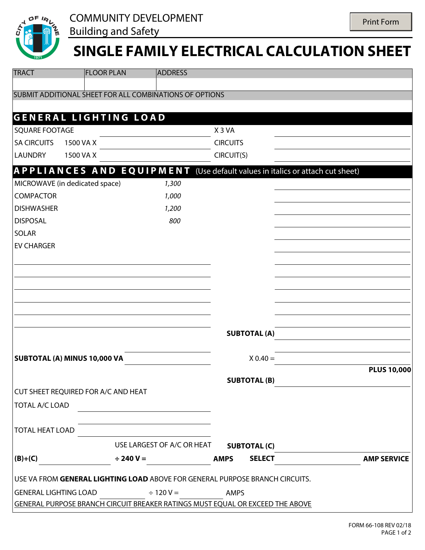

## **SINGLE FAMILY ELECTRICAL CALCULATION SHEET**

| <b>TRACT</b>                                                                  | <b>FLOOR PLAN</b> | <b>ADDRESS</b>             |                   |                     |                    |
|-------------------------------------------------------------------------------|-------------------|----------------------------|-------------------|---------------------|--------------------|
| SUBMIT ADDITIONAL SHEET FOR ALL COMBINATIONS OF OPTIONS                       |                   |                            |                   |                     |                    |
|                                                                               |                   |                            |                   |                     |                    |
| <b>GENERAL LIGHTING LOAD</b>                                                  |                   |                            |                   |                     |                    |
| SQUARE FOOTAGE                                                                |                   |                            | X <sub>3</sub> VA |                     |                    |
| <b>SA CIRCUITS</b><br>1500 VA X                                               |                   |                            | <b>CIRCUITS</b>   |                     |                    |
| <b>LAUNDRY</b><br>1500 VA X                                                   |                   |                            | CIRCUIT(S)        |                     |                    |
| APPLIANCES AND EQUIPMENT (Use default values in italics or attach cut sheet)  |                   |                            |                   |                     |                    |
| MICROWAVE (in dedicated space)                                                |                   | 1,300                      |                   |                     |                    |
| <b>COMPACTOR</b>                                                              |                   | 1,000                      |                   |                     |                    |
| <b>DISHWASHER</b>                                                             |                   | 1,200                      |                   |                     |                    |
| <b>DISPOSAL</b>                                                               |                   | 800                        |                   |                     |                    |
| SOLAR                                                                         |                   |                            |                   |                     |                    |
| <b>EV CHARGER</b>                                                             |                   |                            |                   |                     |                    |
|                                                                               |                   |                            |                   |                     |                    |
|                                                                               |                   |                            |                   |                     |                    |
|                                                                               |                   |                            |                   |                     |                    |
|                                                                               |                   |                            |                   |                     |                    |
|                                                                               |                   |                            |                   |                     |                    |
|                                                                               |                   |                            |                   |                     |                    |
|                                                                               |                   |                            |                   | <b>SUBTOTAL (A)</b> |                    |
|                                                                               |                   |                            |                   |                     |                    |
| SUBTOTAL (A) MINUS 10,000 VA                                                  |                   |                            | $X 0.40 =$        |                     |                    |
|                                                                               |                   |                            |                   |                     | <b>PLUS 10,000</b> |
| CUT SHEET REQUIRED FOR A/C AND HEAT                                           |                   |                            |                   | <b>SUBTOTAL (B)</b> |                    |
|                                                                               |                   |                            |                   |                     |                    |
| <b>TOTAL A/C LOAD</b>                                                         |                   |                            |                   |                     |                    |
|                                                                               |                   |                            |                   |                     |                    |
| <b>TOTAL HEAT LOAD</b>                                                        |                   |                            |                   |                     |                    |
|                                                                               |                   | USE LARGEST OF A/C OR HEAT |                   | <b>SUBTOTAL (C)</b> |                    |
| $(B)+(C)$                                                                     | $\div$ 240 V =    |                            | <b>AMPS</b>       | <b>SELECT</b>       | <b>AMP SERVICE</b> |
| USE VA FROM GENERAL LIGHTING LOAD ABOVE FOR GENERAL PURPOSE BRANCH CIRCUITS.  |                   |                            |                   |                     |                    |
| <b>GENERAL LIGHTING LOAD</b>                                                  |                   | $\div$ 120 V =             | AMPS              |                     |                    |
| GENERAL PURPOSE BRANCH CIRCUIT BREAKER RATINGS MUST EQUAL OR EXCEED THE ABOVE |                   |                            |                   |                     |                    |